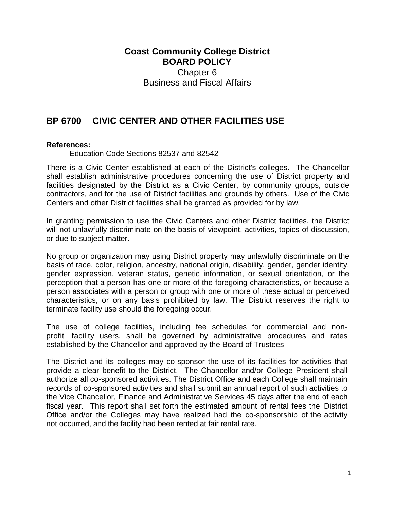## **Coast Community College District BOARD POLICY** Chapter 6 Business and Fiscal Affairs

## **BP 6700 CIVIC CENTER AND OTHER FACILITIES USE**

## **References:**

Education Code Sections 82537 and 82542

 contractors, and for the use of District facilities and grounds by others. Use of the Civic Centers and other District facilities shall be granted as provided for by law. There is a Civic Center established at each of the District's colleges. The Chancellor shall establish administrative procedures concerning the use of District property and facilities designated by the District as a Civic Center, by community groups, outside

In granting permission to use the Civic Centers and other District facilities, the District will not unlawfully discriminate on the basis of viewpoint, activities, topics of discussion, or due to subject matter.

 perception that a person has one or more of the foregoing characteristics, or because a No group or organization may using District property may unlawfully discriminate on the basis of race, color, religion, ancestry, national origin, disability, gender, gender identity, gender expression, veteran status, genetic information, or sexual orientation, or the person associates with a person or group with one or more of these actual or perceived characteristics, or on any basis prohibited by law. The District reserves the right to terminate facility use should the foregoing occur.

 The use of college facilities, including fee schedules for commercial and non- profit facility users, shall be governed by administrative procedures and rates established by the Chancellor and approved by the Board of Trustees

 records of co-sponsored activities and shall submit an annual report of such activities to fiscal year. This report shall set forth the estimated amount of rental fees the District Office and/or the Colleges may have realized had the co-sponsorship of the activity The District and its colleges may co-sponsor the use of its facilities for activities that provide a clear benefit to the District. The Chancellor and/or College President shall authorize all co-sponsored activities. The District Office and each College shall maintain the Vice Chancellor, Finance and Administrative Services 45 days after the end of each not occurred, and the facility had been rented at fair rental rate.